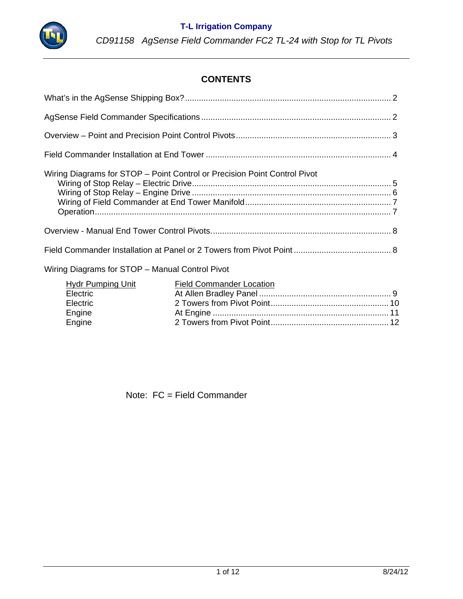

# **CONTENTS**

| Wiring Diagrams for STOP – Point Control or Precision Point Control Pivot |  |  |
|---------------------------------------------------------------------------|--|--|
|                                                                           |  |  |
|                                                                           |  |  |
| Wiring Diagrams for STOP - Manual Control Pivot                           |  |  |
| <b>Hydr Pumping Unit Field Commander Location</b>                         |  |  |

| Hydr Pumping Unit | Field Commander Location |  |
|-------------------|--------------------------|--|
| Electric          |                          |  |
| <b>Electric</b>   |                          |  |
| Engine            |                          |  |
| Engine            |                          |  |

Note: FC = Field Commander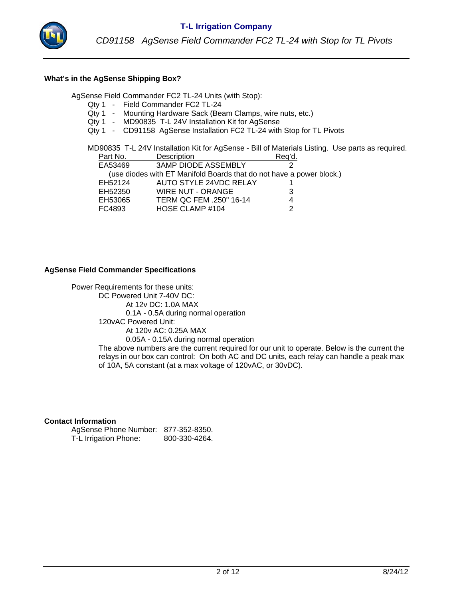

#### **What's in the AgSense Shipping Box?**

AgSense Field Commander FC2 TL-24 Units (with Stop):

- Qty 1 Field Commander FC2 TL-24
- Qty 1 Mounting Hardware Sack (Beam Clamps, wire nuts, etc.)
- Qty 1 MD90835 T-L 24V Installation Kit for AgSense
- Qty 1 CD91158 AgSense Installation FC2 TL-24 with Stop for TL Pivots

MD90835 T-L 24V Installation Kit for AgSense - Bill of Materials Listing. Use parts as required.

| Part No. | Description                                                          | Req'd. |
|----------|----------------------------------------------------------------------|--------|
| EA53469  | <b>3AMP DIODE ASSEMBLY</b>                                           |        |
|          | (use diodes with ET Manifold Boards that do not have a power block.) |        |
| EH52124  | AUTO STYLE 24VDC RELAY                                               |        |
| EH52350  | WIRE NUT - ORANGE                                                    | 3      |
| EH53065  | TERM QC FEM .250" 16-14                                              | 4      |
| FC4893   | HOSE CLAMP #104                                                      | າ      |

#### **AgSense Field Commander Specifications**

Power Requirements for these units: DC Powered Unit 7-40V DC: At 12v DC: 1.0A MAX 0.1A - 0.5A during normal operation 120vAC Powered Unit: At 120v AC: 0.25A MAX 0.05A - 0.15A during normal operation The above numbers are the current required for our unit to operate. Below is the current the relays in our box can control: On both AC and DC units, each relay can handle a peak max of 10A, 5A constant (at a max voltage of 120vAC, or 30vDC).

#### **Contact Information**

AgSense Phone Number: 877-352-8350. T-L Irrigation Phone: 800-330-4264.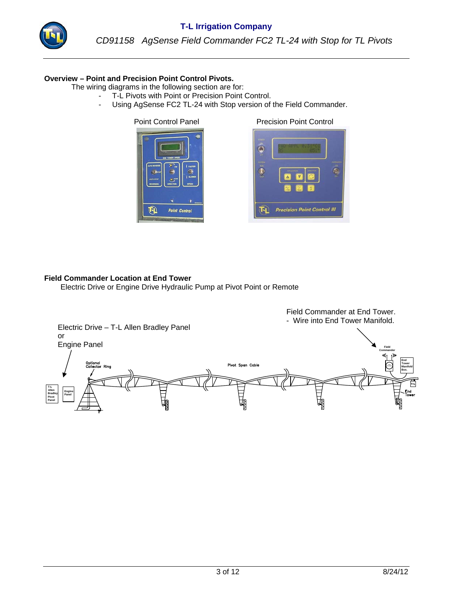

### **Overview – Point and Precision Point Control Pivots.**

The wiring diagrams in the following section are for:

- T-L Pivots with Point or Precision Point Control.
	- Using AgSense FC2 TL-24 with Stop version of the Field Commander.

 $\boldsymbol{\Phi}$ **Point Control** 

Point Control Panel Precision Point Control



#### **Field Commander Location at End Tower**

Electric Drive or Engine Drive Hydraulic Pump at Pivot Point or Remote

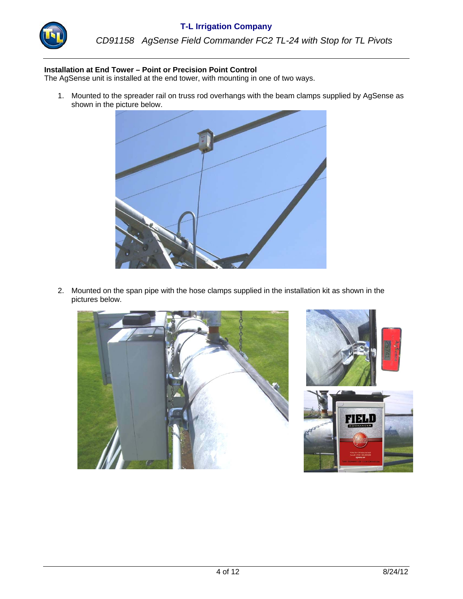

*CD91158 AgSense Field Commander FC2 TL-24 with Stop for TL Pivots*

#### **Installation at End Tower – Point or Precision Point Control**

The AgSense unit is installed at the end tower, with mounting in one of two ways.

1. Mounted to the spreader rail on truss rod overhangs with the beam clamps supplied by AgSense as shown in the picture below.



 2. Mounted on the span pipe with the hose clamps supplied in the installation kit as shown in the pictures below.



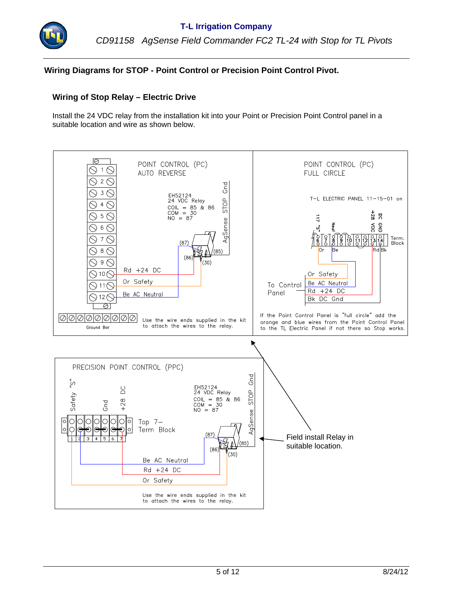

## **Wiring Diagrams for STOP - Point Control or Precision Point Control Pivot.**

#### **Wiring of Stop Relay – Electric Drive**

Install the 24 VDC relay from the installation kit into your Point or Precision Point Control panel in a suitable location and wire as shown below.

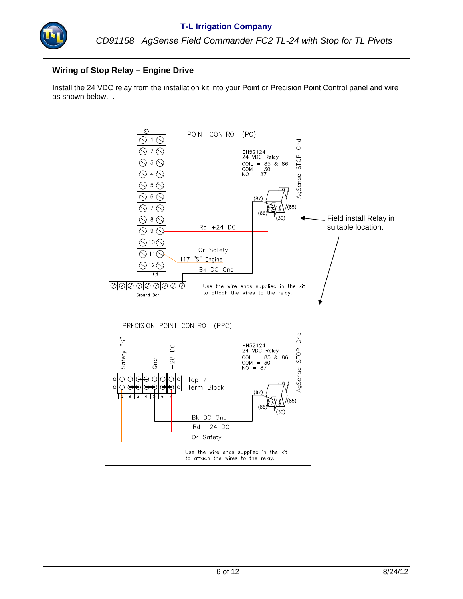

## **Wiring of Stop Relay – Engine Drive**

Install the 24 VDC relay from the installation kit into your Point or Precision Point Control panel and wire as shown below. .

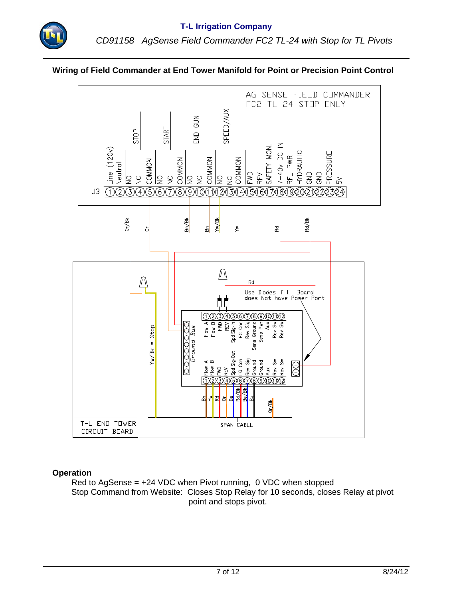## **Wiring of Field Commander at End Tower Manifold for Point or Precision Point Control**



#### **Operation**

 Red to AgSense = +24 VDC when Pivot running, 0 VDC when stopped Stop Command from Website: Closes Stop Relay for 10 seconds, closes Relay at pivot point and stops pivot.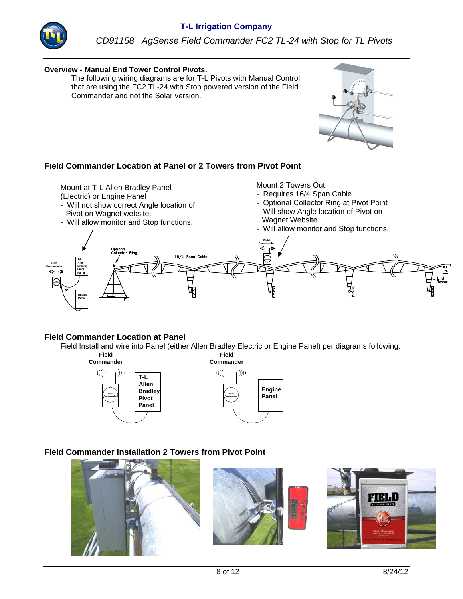

#### **Overview - Manual End Tower Control Pivots.**

 The following wiring diagrams are for T-L Pivots with Manual Control that are using the FC2 TL-24 with Stop powered version of the Field Commander and not the Solar version.

### **Field Commander Location at Panel or 2 Towers from Pivot Point**

Mount at T-L Allen Bradley Panel

- (Electric) or Engine Panel
- Will not show correct Angle location of Pivot on Wagnet website.
- Will allow monitor and Stop functions.

Mount 2 Towers Out:

- Requires 16/4 Span Cable
- Optional Collector Ring at Pivot Point
- Will show Angle location of Pivot on Wagnet Website.
- Will allow monitor and Stop functions.



#### **Field Commander Location at Panel**

Field Install and wire into Panel (either Allen Bradley Electric or Engine Panel) per diagrams following.



### **Field Commander Installation 2 Towers from Pivot Point**



**Engine Panel**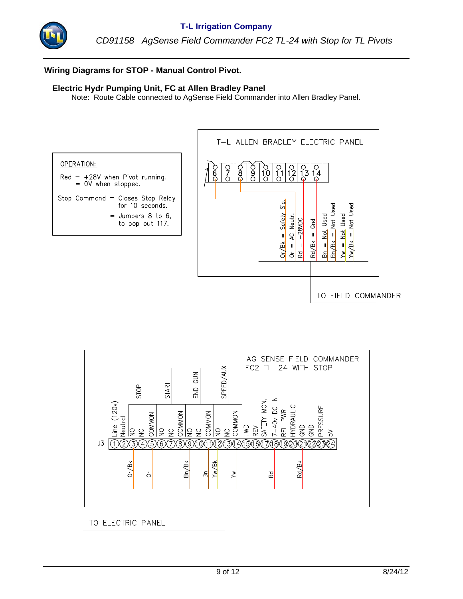

## **Wiring Diagrams for STOP - Manual Control Pivot.**

### **Electric Hydr Pumping Unit, FC at Allen Bradley Panel**

Note: Route Cable connected to AgSense Field Commander into Allen Bradley Panel.



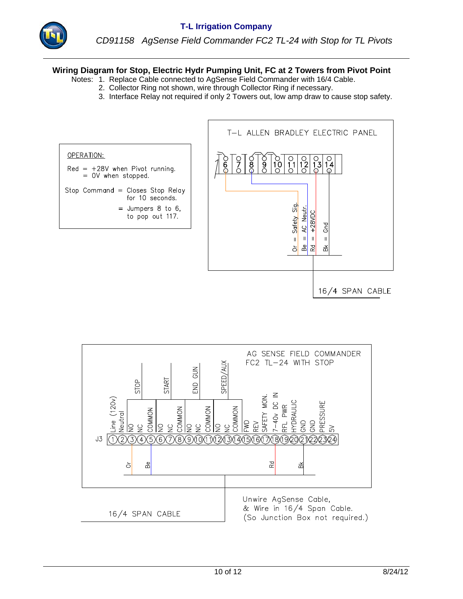

### **Wiring Diagram for Stop, Electric Hydr Pumping Unit, FC at 2 Towers from Pivot Point**

- Notes: 1. Replace Cable connected to AgSense Field Commander with 16/4 Cable.
	- 2. Collector Ring not shown, wire through Collector Ring if necessary.
	- 3. Interface Relay not required if only 2 Towers out, low amp draw to cause stop safety.



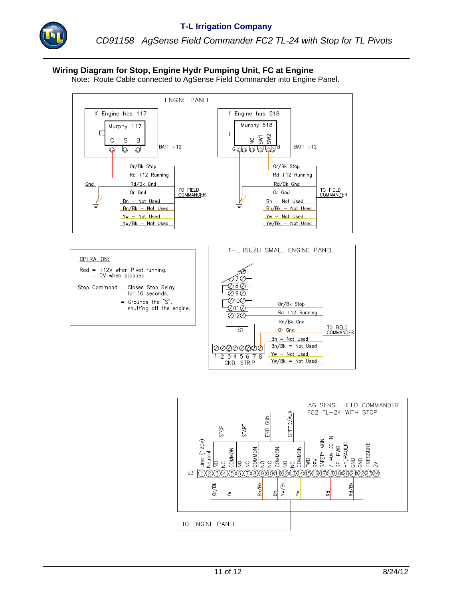

*CD91158 AgSense Field Commander FC2 TL-24 with Stop for TL Pivots*

### **Wiring Diagram for Stop, Engine Hydr Pumping Unit, FC at Engine**

Note: Route Cable connected to AgSense Field Commander into Engine Panel.